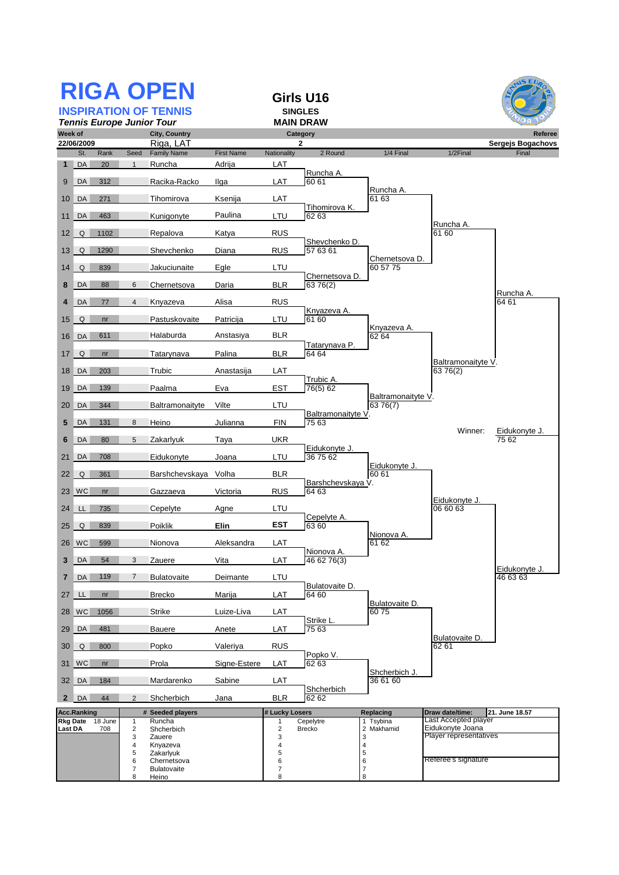|                                              |                          |           |                     | <b>RIGA OPEN</b><br><b>INSPIRATION OF TENNIS</b> |                   |                              | Girls U16<br><b>SINGLES</b> |                                |                                          | 5EU                          |
|----------------------------------------------|--------------------------|-----------|---------------------|--------------------------------------------------|-------------------|------------------------------|-----------------------------|--------------------------------|------------------------------------------|------------------------------|
|                                              |                          |           |                     | <b>Tennis Europe Junior Tour</b>                 |                   |                              | <b>MAIN DRAW</b>            |                                |                                          |                              |
| Week of                                      | 22/06/2009               |           |                     | City, Country<br>Riga, LAT                       |                   |                              | Category<br>2               |                                |                                          | Referee<br>Sergejs Bogachovs |
|                                              | St.                      | Rank      | Seed                | <b>Family Name</b>                               | <b>First Name</b> | <b>Nationality</b>           | 2 Round                     | 1/4 Final                      | 1/2Final                                 | Final                        |
| $\mathbf{1}$                                 | DA                       | 20        | $\overline{1}$      | Runcha                                           | Adrija            | LAT                          | Runcha A.                   |                                |                                          |                              |
| 9                                            | DA                       | 312       |                     | Racika-Racko                                     | Ilga              | LAT                          | 60 61                       | Runcha A.                      |                                          |                              |
| 10                                           | DA                       | 271       |                     | Tihomirova                                       | Ksenija           | LAT                          | Tihomirova K.               | 61 63                          |                                          |                              |
| 11                                           | DA                       | 463       |                     | Kunigonyte                                       | Paulina           | LTU                          | 62 63                       |                                | Runcha A.                                |                              |
| 12                                           | Q                        | 1102      |                     | Repalova                                         | Katya             | <b>RUS</b>                   | Shevchenko D.               |                                | 61 60                                    |                              |
| 13                                           | Q                        | 1290      |                     | Shevchenko                                       | Diana             | <b>RUS</b>                   | 57 63 61                    | Chernetsova D.                 |                                          |                              |
| 14                                           | Q                        | 839       |                     | Jakuciunaite                                     | Egle              | LTU                          |                             | 60 57 75                       |                                          |                              |
| 8                                            | DA                       | 88        | 6                   | Chernetsova                                      | Daria             | <b>BLR</b>                   | Chernetsova D.<br>63 76(2)  |                                |                                          |                              |
| 4                                            | DA                       | 77        | $\overline{4}$      | Knyazeva                                         | Alisa             | <b>RUS</b>                   |                             |                                |                                          | Runcha A.<br>64 61           |
| 15                                           | Q                        | nr        |                     | Pastuskovaite                                    | Patricija         | LTU                          | Knyazeva A.<br>61 60        |                                |                                          |                              |
| 16                                           | DA                       | 611       |                     | Halaburda                                        | Anstasiya         | <b>BLR</b>                   |                             | Knyazeva A.<br>62 64           |                                          |                              |
| 17                                           | Q                        | nr        |                     | Tatarynava                                       | Palina            | <b>BLR</b>                   | Tatarynava P.<br>64 64      |                                |                                          |                              |
| 18                                           | DA                       | 203       |                     | Trubic                                           | Anastasija        | LAT                          |                             |                                | Baltramonaityte V.<br>63 76(2)           |                              |
| 19                                           | DA                       | 139       |                     | Paalma                                           | Eva               | <b>EST</b>                   | Trubic A.<br>76(5) 62       |                                |                                          |                              |
| 20                                           | DA                       | 344       |                     | Baltramonaityte                                  | Vilte             | LTU                          |                             | Baltramonaityte V.<br>63 76(7) |                                          |                              |
| 5                                            | DA                       | 131       | 8                   | Heino                                            | Julianna          | FIN                          | Baltramonaityte V<br>75 63  |                                |                                          |                              |
| 6                                            | DA                       | 80        | 5                   | Zakarlyuk                                        | Taya              | <b>UKR</b>                   |                             |                                | Winner:                                  | Eidukonyte J.<br>75 62       |
| 21                                           | DA                       | 708       |                     | Eidukonyte                                       | Joana             | LTU                          | Eidukonyte J.<br>36 75 62   |                                |                                          |                              |
| 22                                           | Q                        | 361       |                     | Barshchevskaya Volha                             |                   | <b>BLR</b>                   |                             | Eidukonyte J.<br>$60\,61$      |                                          |                              |
| 23                                           | $\mathsf{W}\mathsf{C}$   | nr        |                     | Gazzaeva                                         | Victoria          | <b>RUS</b>                   | Barshchevskaya V.<br>64 63  |                                |                                          |                              |
| 24                                           | LL                       | 735       |                     | Cepelyte                                         | Agne              | LTU                          |                             |                                | Eidukonyte J.<br>06 60 63                |                              |
| 25                                           | Q                        | 839       |                     | Poiklik                                          | Elin              | EST                          | Cepelyte A.<br>63 60        |                                |                                          |                              |
|                                              |                          | 26 WC 599 |                     | Nionova                                          | Aleksandra        | LAT                          |                             | Nionova A.<br>61 62            |                                          |                              |
| 3                                            | DA                       | 54        | 3                   | Zauere                                           | Vita              | LAT                          | Nionova A.<br>46 62 76(3)   |                                |                                          |                              |
| 7                                            | DA                       | 119       | 7                   | Bulatovaite                                      | Deimante          | LTU                          |                             |                                |                                          | Eidukonyte J.<br>46 63 63    |
| 27                                           | LL.                      | nr        |                     | Brecko                                           | Marija            | LAT                          | Bulatovaite D.<br>64 60     |                                |                                          |                              |
|                                              | 28 WC                    | 1056      |                     | <b>Strike</b>                                    | Luize-Liva        | LAT                          |                             | Bulatovaite D.<br>6075         |                                          |                              |
| 29                                           | DA                       | 481       |                     | Bauere                                           | Anete             | LAT                          | Strike L.<br>75 63          |                                |                                          |                              |
| 30                                           | Q                        | 800       |                     | Popko                                            | Valeriya          | <b>RUS</b>                   |                             |                                | Bulatovaite D.<br>62 61                  |                              |
|                                              | 31 WC                    | nr        |                     | Prola                                            | Signe-Estere      | <b>LAT</b>                   | Popko V.<br>62 63           |                                |                                          |                              |
| 32                                           | $\overline{\mathsf{DA}}$ | 184       |                     | Mardarenko                                       | Sabine            | LAT                          |                             | Shcherbich J.<br>36 61 60      |                                          |                              |
| $\mathbf{2}$                                 | DA                       | 44        | 2                   | Shcherbich                                       | Jana              | <b>BLR</b>                   | Shcherbich<br>62 62         |                                |                                          |                              |
|                                              | <b>Acc.Ranking</b>       |           |                     | # Seeded players                                 |                   | # Lucky Losers               |                             | Replacing                      | Draw date/time:                          | 21. June 18.57               |
| <b>Rkg Date</b><br>18 June<br>Last DA<br>708 |                          |           | 1<br>$\sqrt{2}$     | Runcha<br>Shcherbich                             |                   | 1<br>$\overline{\mathbf{c}}$ | Cepelytre<br>Brecko         | 1 Tsybina<br>2 Makhamid        | Last Accepted player<br>Eidukonyte Joana |                              |
|                                              |                          |           | 3<br>4              | Zauere<br>Knyazeva                               |                   | 3<br>4                       |                             | 3<br>$\overline{\mathcal{L}}$  | Player representatives                   |                              |
|                                              |                          |           | 5                   | Zakarlyuk                                        |                   | 5                            |                             | 5                              | Referee's signature                      |                              |
|                                              |                          |           | 6<br>$\overline{7}$ | Chernetsova<br><b>Bulatovaite</b>                |                   | 6<br>7                       |                             | 6<br>$\boldsymbol{7}$          |                                          |                              |
|                                              |                          |           | 8                   | Heino                                            |                   | 8                            |                             | 8                              |                                          |                              |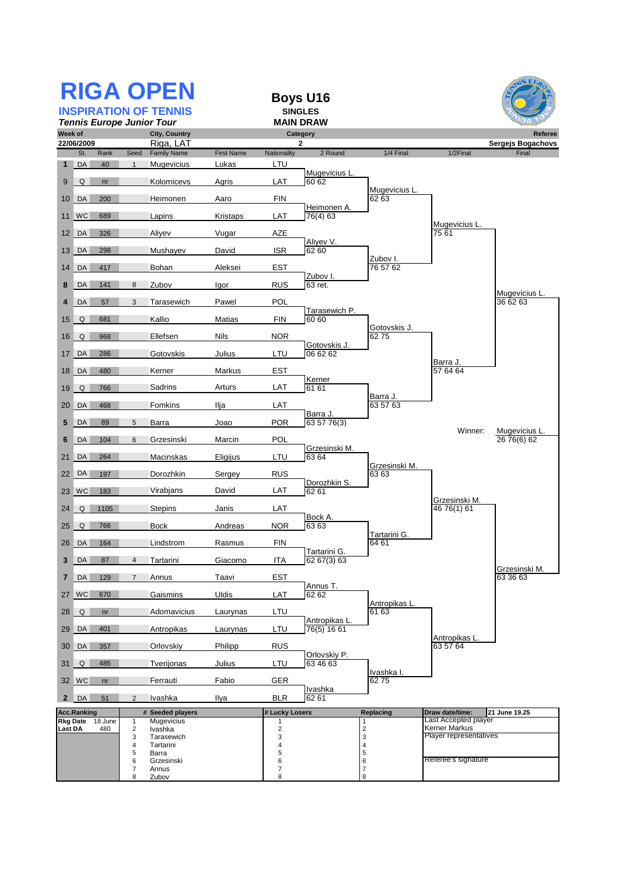| <b>RIGA OPEN</b><br><b>Boys U16</b><br><b>SINGLES</b><br><b>INSPIRATION OF TENNIS</b><br><b>Tennis Europe Junior Tour</b><br><b>MAIN DRAW</b> |                             |                |                            |                              |                   |                          |                                |                                          |                                       | $\overline{MS}$ EU          |
|-----------------------------------------------------------------------------------------------------------------------------------------------|-----------------------------|----------------|----------------------------|------------------------------|-------------------|--------------------------|--------------------------------|------------------------------------------|---------------------------------------|-----------------------------|
| Week of<br>City, Country                                                                                                                      |                             |                |                            |                              |                   |                          | Category                       |                                          |                                       | Referee                     |
|                                                                                                                                               | 22/06/2009                  |                |                            | Riga, LAT                    |                   |                          | 2                              |                                          |                                       | Sergejs Bogachovs           |
|                                                                                                                                               | St.<br>DA                   | Rank<br>40     | Seed<br>$\mathbf{1}$       | <b>Family Name</b>           | <b>First Name</b> | Nationality              | 2 Round                        | 1/4 Final                                | 1/2Final                              | Final                       |
| $\mathbf{1}$<br>9                                                                                                                             | Q                           | nr             |                            | Mugevicius<br>Kolomicevs     | Lukas<br>Agris    | LTU<br>LAT               | Mugevicius L<br>60 62          |                                          |                                       |                             |
| 10                                                                                                                                            | DA                          | 200            |                            | Heimonen                     | Aaro              | FIN                      |                                | Mugevicius L.<br>62 63                   |                                       |                             |
| 11                                                                                                                                            | $\mathsf{W}\mathsf{C}$      | 689            |                            | Lapins                       | Kristaps          | LAT                      | Heimonen A.<br>76(4) 63        |                                          |                                       |                             |
| 12                                                                                                                                            | $\overline{\phantom{a}}$ DA | 326            |                            | Aliyev                       | Vugar             | <b>AZE</b>               |                                |                                          | Mugevicius L.<br>75 61                |                             |
| 13                                                                                                                                            | DA                          | 298            |                            | Mushayev                     | David             | <b>ISR</b>               | Aliyev <sub>V</sub> .<br>62 60 |                                          |                                       |                             |
|                                                                                                                                               | 14 DA                       | 417            |                            | Bohan                        | Aleksei           | <b>EST</b>               |                                | Zubov I.<br>76 57 62                     |                                       |                             |
| 8                                                                                                                                             | DA                          | 141            | 8                          | Zubov                        | Igor              | <b>RUS</b>               | Zubov I<br>63 ret.             |                                          |                                       |                             |
| 4                                                                                                                                             | DA                          | 57             | 3                          | Tarasewich                   | Pawel             | <b>POL</b>               |                                |                                          |                                       | Mugevicius L<br>36 62 63    |
|                                                                                                                                               |                             |                |                            |                              |                   |                          | Tarasewich P.                  |                                          |                                       |                             |
| 15                                                                                                                                            | Q                           | 681            |                            | Kallio                       | <b>Matias</b>     | <b>FIN</b>               | 60 60                          | Gotovskis J.                             |                                       |                             |
| 16                                                                                                                                            | Q                           | 968            |                            | Ellefsen                     | <b>Nils</b>       | <b>NOR</b>               | Gotovskis J                    | 6275                                     |                                       |                             |
| 17                                                                                                                                            | DA                          | 286            |                            | Gotovskis                    | Julius            | LTU                      | 06 62 62                       |                                          | Barra J                               |                             |
| 18                                                                                                                                            | $\overline{\phantom{a}}$ DA | 480            |                            | Kerner                       | Markus            | <b>EST</b>               |                                |                                          | 57 64 64                              |                             |
| 19                                                                                                                                            | Q                           | 766            |                            | Sadrins                      | Arturs            | LAT                      | Kerner<br>61 61                |                                          |                                       |                             |
| 20                                                                                                                                            | DA                          | 468            |                            | Fomkins                      | Ilja              | LAT                      |                                | Barra J.<br>63 57 63                     |                                       |                             |
| 5                                                                                                                                             | DA                          | 89             | 5                          | Barra                        | Joao              | <b>POR</b>               | Barra J.<br>63 57 76(3)        |                                          |                                       |                             |
| 6                                                                                                                                             | DA                          | 104            | 6                          | Grzesinski                   | Marcin            | POL                      |                                |                                          | Winner:                               | Mugevicius L<br>26 76(6) 62 |
| 21                                                                                                                                            | DA                          | 264            |                            | Macinskas                    | Eligijus          | LTU                      | Grzesinski M.<br>63 64         |                                          |                                       |                             |
| 22                                                                                                                                            | DA                          | 197            |                            | Dorozhkin                    | Sergey            | <b>RUS</b>               |                                | Grzesinski M.<br>6363                    |                                       |                             |
| 23                                                                                                                                            | $\mathsf{W}\mathsf{C}$      | 183            |                            | Virabjans                    | David             | LAT                      | Dorozhkin S.<br>6261           |                                          |                                       |                             |
| 24                                                                                                                                            | Q                           | 1105           |                            | <b>Stepins</b>               | Janis             | LAT                      |                                |                                          | Grzesinski M.<br>46 76(1) 61          |                             |
| 25                                                                                                                                            | Q                           | 766            |                            | <b>Bock</b>                  | Andreas           | <b>NOR</b>               | Bock A.<br>63 63               |                                          |                                       |                             |
|                                                                                                                                               |                             | 26 DA 164      |                            | Lindstrom                    | Rasmus            | <b>FIN</b>               |                                | Tartarini G.<br>64 61                    |                                       |                             |
| 3                                                                                                                                             | DA                          | 87             | $\overline{4}$             | Tartarini                    | Giacomo           | <b>ITA</b>               | Tartarini G.<br>62 67(3) 63    |                                          |                                       |                             |
| 7                                                                                                                                             | DA                          | 129            | $\overline{7}$             | Annus                        | Taavi             | <b>EST</b>               |                                |                                          |                                       | Grzesinski M.<br>63 36 63   |
| 27                                                                                                                                            | $\overline{\mathsf{W}}$     | 670            |                            | Gaismins                     | Uldis             | LAT                      | Annus T.<br>62 62              |                                          |                                       |                             |
| 28                                                                                                                                            | Q                           | nr             |                            | Adomavicius                  | Laurynas          | LTU                      |                                | Antropikas L.<br>61 63                   |                                       |                             |
| 29                                                                                                                                            | DA                          | 401            |                            | Antropikas                   | Laurynas          | LTU                      | Antropikas L<br>76(5) 16 61    |                                          |                                       |                             |
| 30                                                                                                                                            | DA                          | 357            |                            | Orlovskiy                    | Philipp           | <b>RUS</b>               |                                |                                          | Antropikas L<br>63 57 64              |                             |
| 31                                                                                                                                            | Q                           | 485            |                            | Tverijonas                   | Julius            | LTU                      | Orlovskiy P.<br>63 46 63       |                                          |                                       |                             |
|                                                                                                                                               | 32 WC                       | nr             |                            | Ferrauti                     | Fabio             | GER                      |                                | Ivashka I.<br>6275                       |                                       |                             |
| $\mathbf{2}$                                                                                                                                  | DA                          | 51             | 2                          | Ivashka                      | Ilya              | <b>BLR</b>               | Ivashka<br>62 61               |                                          |                                       |                             |
|                                                                                                                                               | <b>Acc.Ranking</b>          |                |                            | # Seeded players             |                   | # Lucky Losers           |                                | <b>Replacing</b>                         | Draw date/time:                       | 21 June 19.25               |
| Last DA                                                                                                                                       | <b>Rkg Date</b>             | 18 June<br>480 | $\mathbf{1}$<br>$\sqrt{2}$ | <b>Mugevicius</b><br>Ivashka |                   | 1<br>$\mathbf 2$         |                                |                                          | Last Accepted player<br>Kerner Markus |                             |
|                                                                                                                                               |                             |                | 3<br>4                     | Tarasewich<br>Tartarini      |                   | 3<br>4                   |                                | $\frac{2}{3}$<br>$\overline{\mathbf{4}}$ | Player representatives                |                             |
|                                                                                                                                               |                             |                | 5<br>6                     | Barra<br>Grzesinski          |                   | 5<br>6                   |                                | 5<br>6                                   | Referee's signature                   |                             |
|                                                                                                                                               |                             |                | $\overline{7}$             | Annus                        |                   | $\overline{\mathcal{I}}$ |                                | $\overline{7}$                           |                                       |                             |
|                                                                                                                                               |                             |                | 8                          | Zubov                        |                   | 8                        |                                | 8                                        |                                       |                             |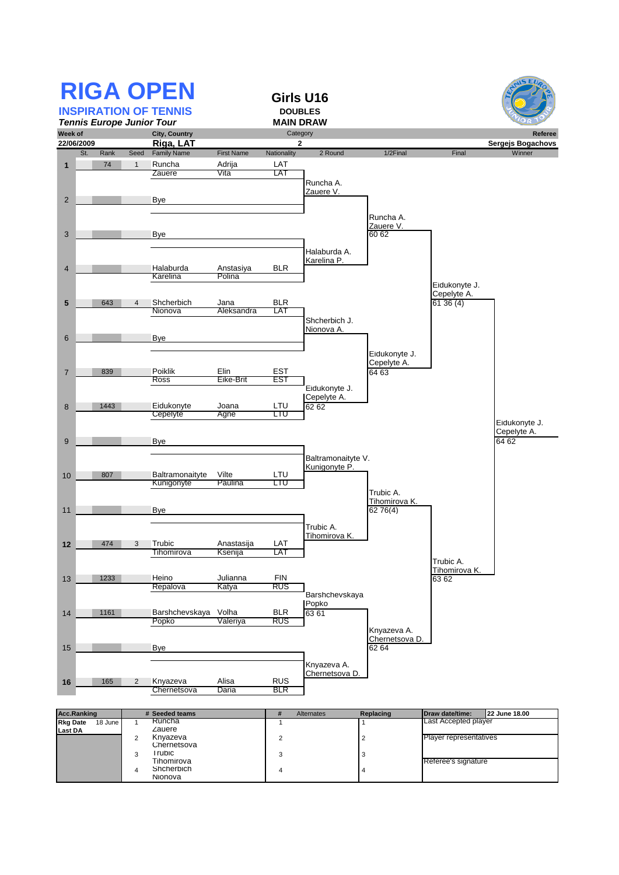